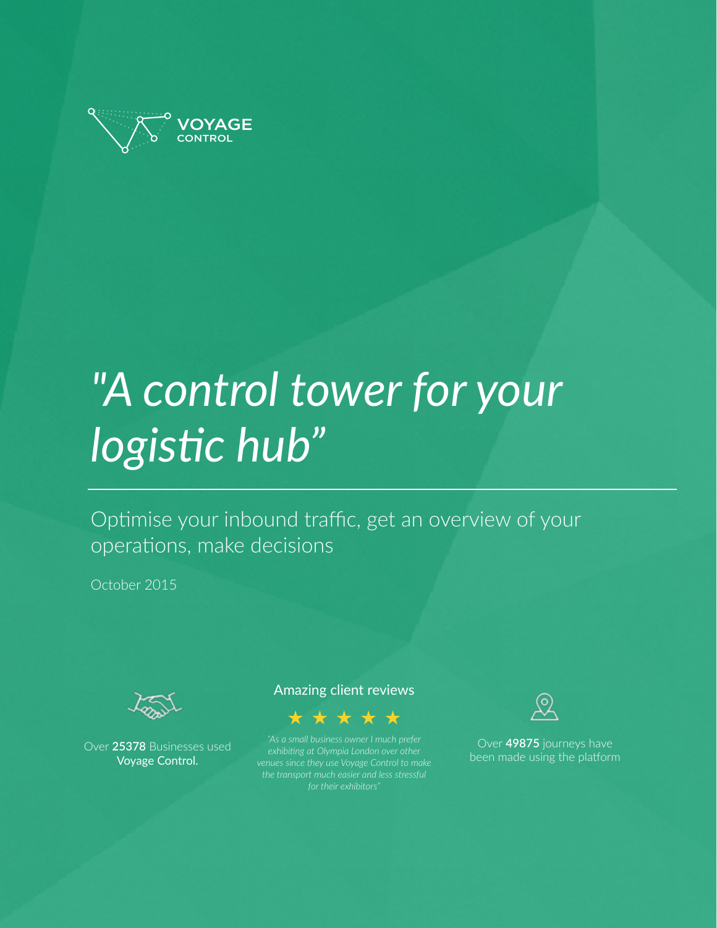

# *"A control tower for your*  logistic hub"

Optimise your inbound traffic, get an overview of your operations, make decisions

October 2015



Over **25378** Businesses used Voyage Control.

### Amazing client reviews



*"As a small business owner I much prefer exhibiting at Olympia London over other venues since they use Voyage Control to make* 



Over **49875** journeys have been made using the platform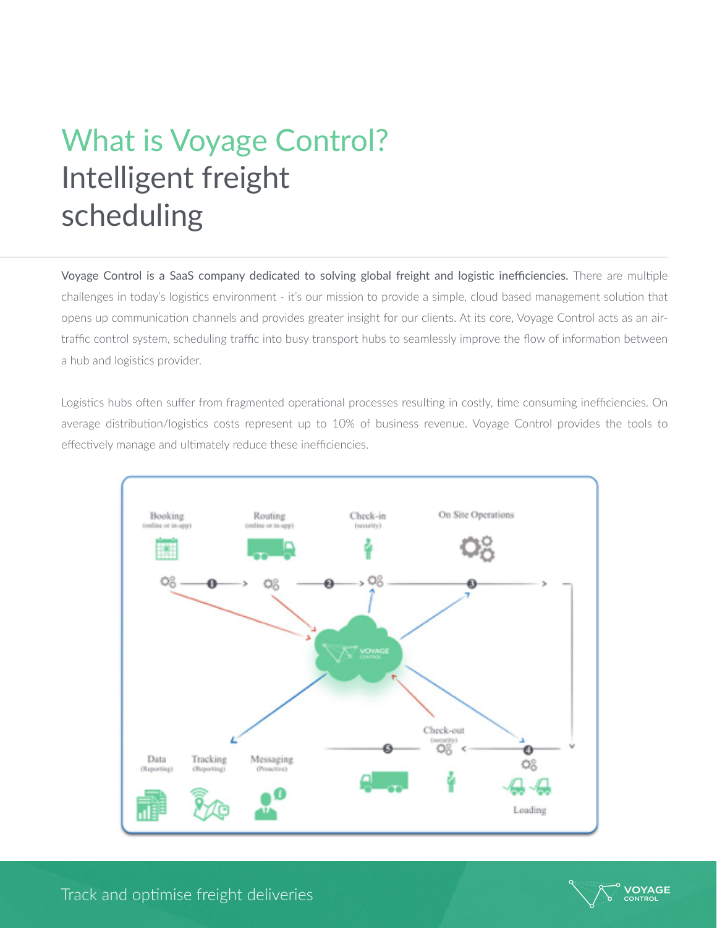## What is Voyage Control? Intelligent freight scheduling

Voyage Control is a SaaS company dedicated to solving global freight and logistic inefficiencies. There are multiple challenges in today's logistics environment - it's our mission to provide a simple, cloud based management solution that opens up communication channels and provides greater insight for our clients. At its core, Voyage Control acts as an airtraffic control system, scheduling traffic into busy transport hubs to seamlessly improve the flow of information between a hub and logistics provider.

Logistics hubs often suffer from fragmented operational processes resulting in costly, time consuming inefficiencies. On average distribution/logistics costs represent up to 10% of business revenue. Voyage Control provides the tools to effectively manage and ultimately reduce these inefficiencies.



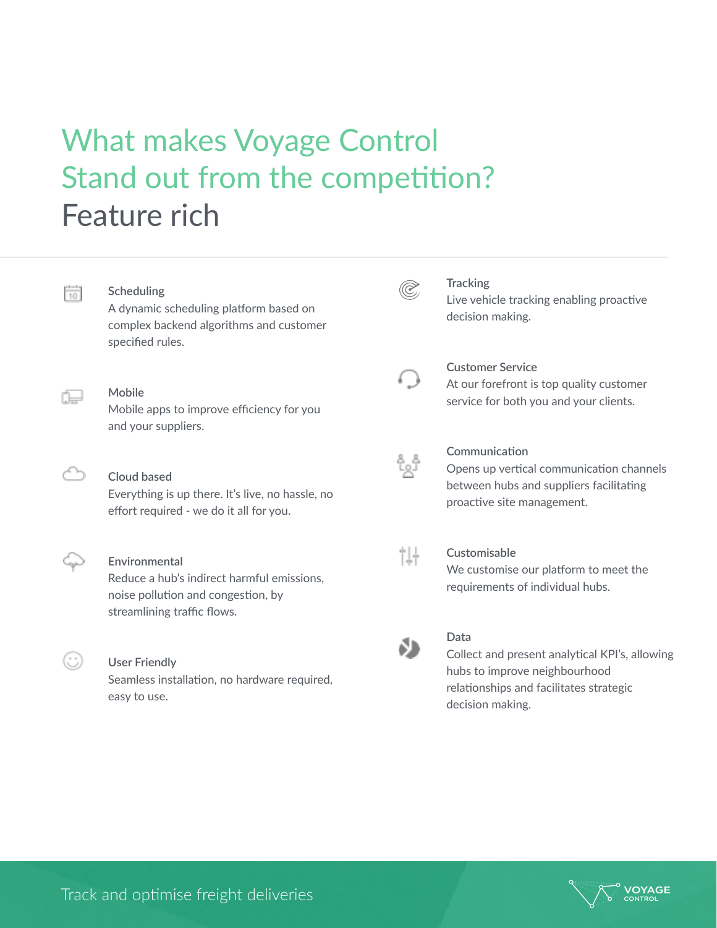### What makes Voyage Control Stand out from the competition? Feature rich



A dynamic scheduling platform based on complex backend algorithms and customer specified rules.

#### **Mobile**

Mobile apps to improve efficiency for you and your suppliers.

#### **Cloud based**

Everything is up there. It's live, no hassle, no effort required - we do it all for you.

#### **Environmental**

Reduce a hub's indirect harmful emissions, noise pollution and congestion, by streamlining traffic flows.

### **User Friendly**

(; )

Seamless installation, no hardware required, easy to use.

### O,

#### **Tracking**

Live vehicle tracking enabling proactive decision making.



#### **Customer Service**

At our forefront is top quality customer service for both you and your clients.



#### **Communication**

Opens up vertical communication channels between hubs and suppliers facilitating proactive site management.



#### **Customisable**

We customise our platform to meet the requirements of individual hubs.



#### **Data**

Collect and present analytical KPI's, allowing hubs to improve neighbourhood relationships and facilitates strategic decision making.